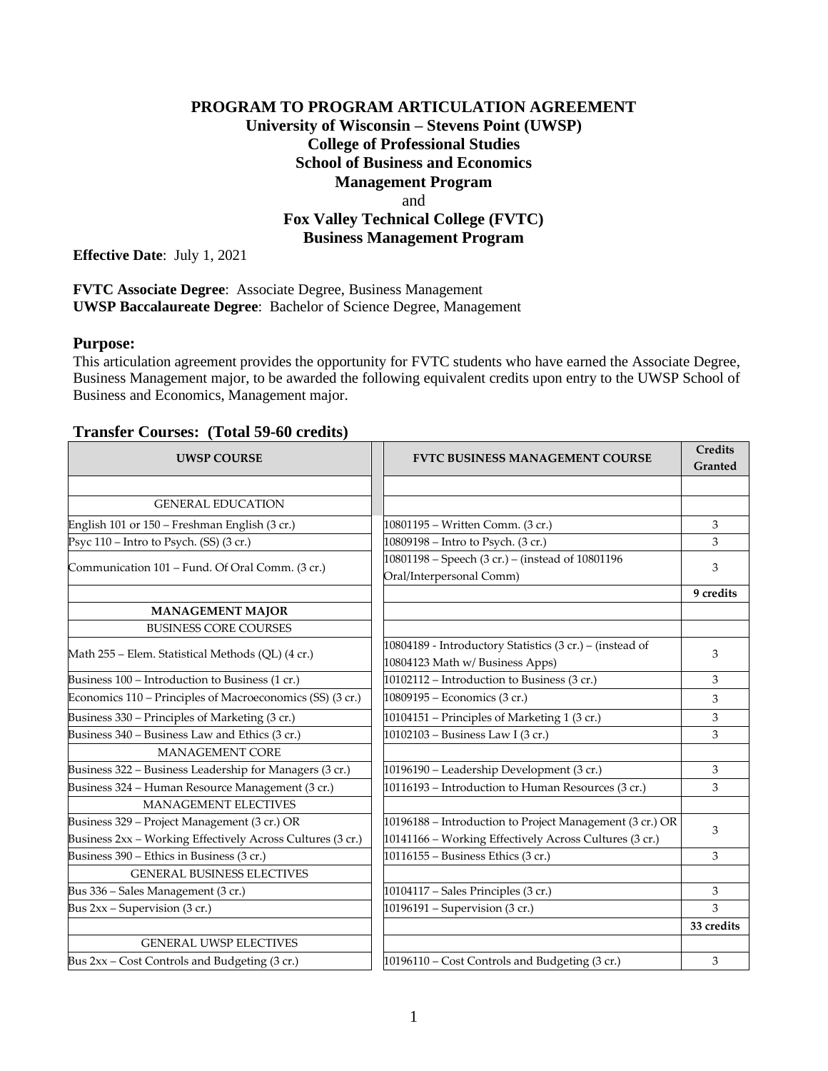## **PROGRAM TO PROGRAM ARTICULATION AGREEMENT University of Wisconsin – Stevens Point (UWSP) College of Professional Studies School of Business and Economics Management Program** and **Fox Valley Technical College (FVTC) Business Management Program**

**Effective Date**: July 1, 2021

**FVTC Associate Degree**: Associate Degree, Business Management **UWSP Baccalaureate Degree**: Bachelor of Science Degree, Management

#### **Purpose:**

This articulation agreement provides the opportunity for FVTC students who have earned the Associate Degree, Business Management major, to be awarded the following equivalent credits upon entry to the UWSP School of Business and Economics, Management major.

### **Transfer Courses: (Total 59-60 credits)**

| <b>UWSP COURSE</b>                                         | <b>FVTC BUSINESS MANAGEMENT COURSE</b>                                       | Credits<br>Granted |
|------------------------------------------------------------|------------------------------------------------------------------------------|--------------------|
|                                                            |                                                                              |                    |
| <b>GENERAL EDUCATION</b>                                   |                                                                              |                    |
| English 101 or 150 - Freshman English (3 cr.)              | 10801195 - Written Comm. (3 cr.)                                             | 3                  |
| Psyc 110 – Intro to Psych. (SS) (3 cr.)                    | 10809198 - Intro to Psych. (3 cr.)                                           | 3                  |
| Communication 101 - Fund. Of Oral Comm. (3 cr.)            | 10801198 - Speech (3 cr.) - (instead of 10801196<br>Oral/Interpersonal Comm) | 3                  |
|                                                            |                                                                              | 9 credits          |
| <b>MANAGEMENT MAJOR</b>                                    |                                                                              |                    |
| <b>BUSINESS CORE COURSES</b>                               |                                                                              |                    |
|                                                            | 10804189 - Introductory Statistics (3 cr.) - (instead of                     | 3                  |
| Math 255 – Elem. Statistical Methods (QL) (4 cr.)          | 10804123 Math w/ Business Apps)                                              |                    |
| Business 100 - Introduction to Business (1 cr.)            | 10102112 - Introduction to Business (3 cr.)                                  | 3                  |
| Economics 110 – Principles of Macroeconomics (SS) (3 cr.)  | 10809195 - Economics (3 cr.)                                                 | 3                  |
| Business 330 – Principles of Marketing (3 cr.)             | 10104151 - Principles of Marketing 1 (3 cr.)                                 | 3                  |
| Business 340 - Business Law and Ethics (3 cr.)             | 10102103 - Business Law I (3 cr.)                                            | 3                  |
| <b>MANAGEMENT CORE</b>                                     |                                                                              |                    |
| Business 322 - Business Leadership for Managers (3 cr.)    | 10196190 - Leadership Development (3 cr.)                                    | 3                  |
| Business 324 - Human Resource Management (3 cr.)           | 10116193 - Introduction to Human Resources (3 cr.)                           | 3                  |
| <b>MANAGEMENT ELECTIVES</b>                                |                                                                              |                    |
| Business 329 - Project Management (3 cr.) OR               | 10196188 - Introduction to Project Management (3 cr.) OR                     | 3                  |
| Business 2xx - Working Effectively Across Cultures (3 cr.) | 10141166 - Working Effectively Across Cultures (3 cr.)                       |                    |
| Business 390 - Ethics in Business (3 cr.)                  | 10116155 - Business Ethics (3 cr.)                                           | 3                  |
| <b>GENERAL BUSINESS ELECTIVES</b>                          |                                                                              |                    |
| Bus 336 - Sales Management (3 cr.)                         | 10104117 - Sales Principles (3 cr.)                                          | 3                  |
| Bus $2xx$ – Supervision (3 cr.)                            | 10196191 - Supervision (3 cr.)                                               | 3                  |
|                                                            |                                                                              | 33 credits         |
| <b>GENERAL UWSP ELECTIVES</b>                              |                                                                              |                    |
| Bus 2xx - Cost Controls and Budgeting (3 cr.)              | 10196110 - Cost Controls and Budgeting (3 cr.)                               | 3                  |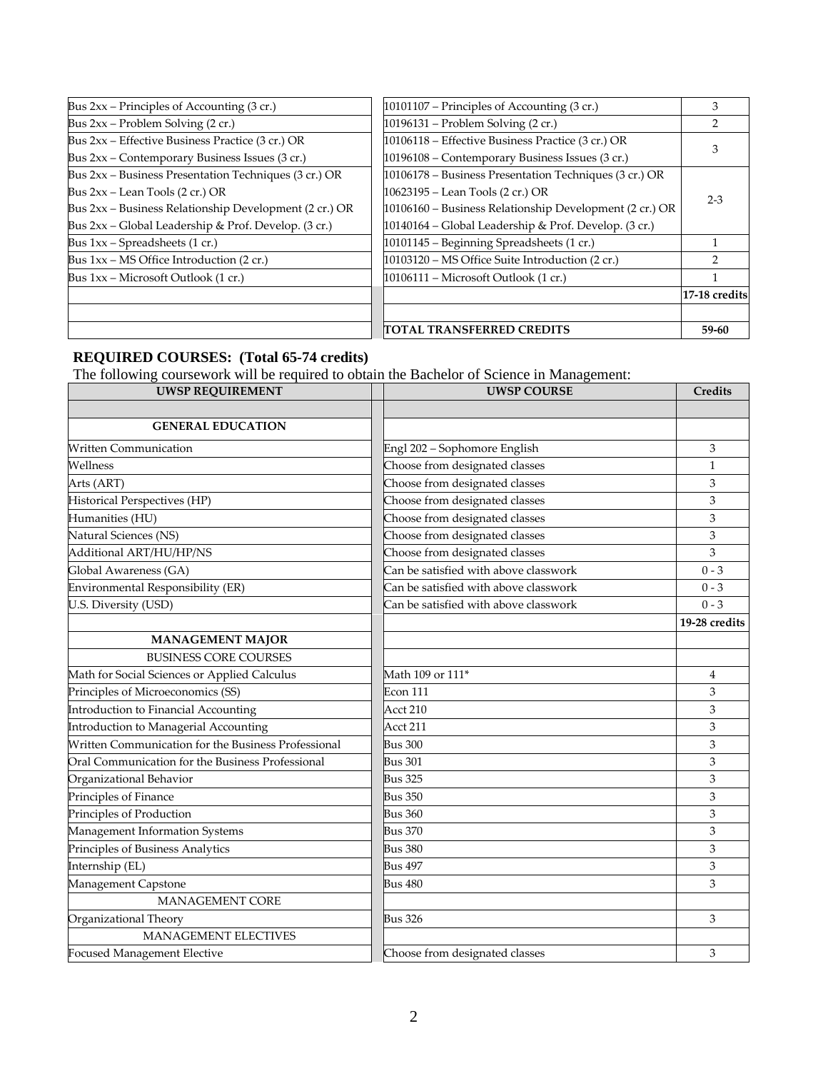| Bus $2xx$ – Principles of Accounting (3 cr.)           | $10101107$ – Principles of Accounting (3 cr.)           | 3             |  |
|--------------------------------------------------------|---------------------------------------------------------|---------------|--|
| Bus $2xx$ – Problem Solving (2 cr.)                    | 10196131 – Problem Solving (2 cr.)                      |               |  |
| Bus 2xx – Effective Business Practice (3 cr.) OR       | 10106118 - Effective Business Practice (3 cr.) OR       |               |  |
| Bus 2xx – Contemporary Business Issues (3 cr.)         | 10196108 – Contemporary Business Issues (3 cr.)         |               |  |
| Bus 2xx – Business Presentation Techniques (3 cr.) OR  | 10106178 – Business Presentation Techniques (3 cr.) OR  |               |  |
| Bus $2xx$ – Lean Tools $(2 \text{ cr.})$ OR            | 10623195 – Lean Tools (2 cr.) OR                        |               |  |
| Bus 2xx - Business Relationship Development (2 cr.) OR | 10106160 - Business Relationship Development (2 cr.) OR | $2 - 3$       |  |
| Bus $2xx$ – Global Leadership & Prof. Develop. (3 cr.) | 10140164 - Global Leadership & Prof. Develop. (3 cr.)   |               |  |
| Bus 1xx - Spreadsheets (1 cr.)                         | 10101145 - Beginning Spreadsheets (1 cr.)               |               |  |
| Bus 1xx – MS Office Introduction (2 cr.)               | 10103120 – MS Office Suite Introduction (2 cr.)         |               |  |
| Bus 1xx – Microsoft Outlook (1 cr.)                    | 10106111 – Microsoft Outlook (1 cr.)                    |               |  |
|                                                        |                                                         | 17-18 credits |  |
|                                                        |                                                         |               |  |
|                                                        | TOTAL TRANSFERRED CREDITS                               | 59-60         |  |

#### **REQUIRED COURSES: (Total 65-74 credits)**

The following coursework will be required to obtain the Bachelor of Science in Management:

| <b>UWSP REQUIREMENT</b>                             | <b>UWSP COURSE</b>                    | Credits       |
|-----------------------------------------------------|---------------------------------------|---------------|
|                                                     |                                       |               |
| <b>GENERAL EDUCATION</b>                            |                                       |               |
| <b>Written Communication</b>                        | Engl 202 - Sophomore English          | 3             |
| Wellness                                            | Choose from designated classes        | $\mathbf{1}$  |
| Arts (ART)                                          | Choose from designated classes        | 3             |
| Historical Perspectives (HP)                        | Choose from designated classes        | 3             |
| Humanities (HU)                                     | Choose from designated classes        | 3             |
| Natural Sciences (NS)                               | Choose from designated classes        | 3             |
| Additional ART/HU/HP/NS                             | Choose from designated classes        | 3             |
| Global Awareness (GA)                               | Can be satisfied with above classwork | $0 - 3$       |
| Environmental Responsibility (ER)                   | Can be satisfied with above classwork | $0 - 3$       |
| U.S. Diversity (USD)                                | Can be satisfied with above classwork | $0 - 3$       |
|                                                     |                                       | 19-28 credits |
| <b>MANAGEMENT MAJOR</b>                             |                                       |               |
| <b>BUSINESS CORE COURSES</b>                        |                                       |               |
| Math for Social Sciences or Applied Calculus        | Math 109 or 111 <sup>*</sup>          | 4             |
| Principles of Microeconomics (SS)                   | Econ 111                              | 3             |
| Introduction to Financial Accounting                | Acct 210                              | 3             |
| Introduction to Managerial Accounting               | Acct 211                              | 3             |
| Written Communication for the Business Professional | <b>Bus 300</b>                        | 3             |
| Oral Communication for the Business Professional    | <b>Bus 301</b>                        | 3             |
| Organizational Behavior                             | <b>Bus 325</b>                        | 3             |
| Principles of Finance                               | <b>Bus 350</b>                        | 3             |
| Principles of Production                            | <b>Bus 360</b>                        | 3             |
| Management Information Systems                      | <b>Bus 370</b>                        | 3             |
| Principles of Business Analytics                    | <b>Bus 380</b>                        | 3             |
| Internship (EL)                                     | <b>Bus 497</b>                        | 3             |
| Management Capstone                                 | <b>Bus 480</b>                        | 3             |
| <b>MANAGEMENT CORE</b>                              |                                       |               |
| Organizational Theory                               | <b>Bus 326</b>                        | 3             |
| MANAGEMENT ELECTIVES                                |                                       |               |
| <b>Focused Management Elective</b>                  | Choose from designated classes        | 3             |